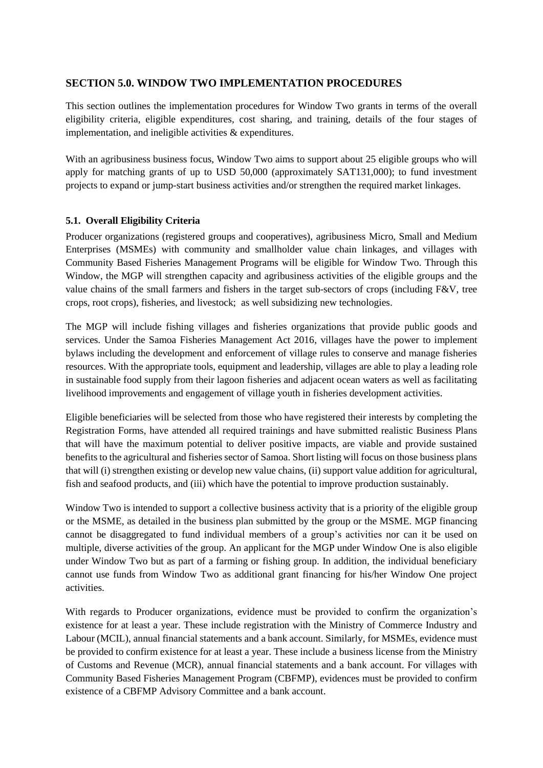# **SECTION 5.0. WINDOW TWO IMPLEMENTATION PROCEDURES**

This section outlines the implementation procedures for Window Two grants in terms of the overall eligibility criteria, eligible expenditures, cost sharing, and training, details of the four stages of implementation, and ineligible activities & expenditures.

With an agribusiness business focus. Window Two aims to support about 25 eligible groups who will apply for matching grants of up to USD 50,000 (approximately SAT131,000); to fund investment projects to expand or jump-start business activities and/or strengthen the required market linkages.

### **5.1. Overall Eligibility Criteria**

Producer organizations (registered groups and cooperatives), agribusiness Micro, Small and Medium Enterprises (MSMEs) with community and smallholder value chain linkages, and villages with Community Based Fisheries Management Programs will be eligible for Window Two. Through this Window, the MGP will strengthen capacity and agribusiness activities of the eligible groups and the value chains of the small farmers and fishers in the target sub-sectors of crops (including F&V, tree crops, root crops), fisheries, and livestock; as well subsidizing new technologies.

The MGP will include fishing villages and fisheries organizations that provide public goods and services. Under the Samoa Fisheries Management Act 2016, villages have the power to implement bylaws including the development and enforcement of village rules to conserve and manage fisheries resources. With the appropriate tools, equipment and leadership, villages are able to play a leading role in sustainable food supply from their lagoon fisheries and adjacent ocean waters as well as facilitating livelihood improvements and engagement of village youth in fisheries development activities.

Eligible beneficiaries will be selected from those who have registered their interests by completing the Registration Forms, have attended all required trainings and have submitted realistic Business Plans that will have the maximum potential to deliver positive impacts, are viable and provide sustained benefits to the agricultural and fisheries sector of Samoa. Short listing will focus on those business plans that will (i) strengthen existing or develop new value chains, (ii) support value addition for agricultural, fish and seafood products, and (iii) which have the potential to improve production sustainably.

Window Two is intended to support a collective business activity that is a priority of the eligible group or the MSME, as detailed in the business plan submitted by the group or the MSME. MGP financing cannot be disaggregated to fund individual members of a group's activities nor can it be used on multiple, diverse activities of the group. An applicant for the MGP under Window One is also eligible under Window Two but as part of a farming or fishing group. In addition, the individual beneficiary cannot use funds from Window Two as additional grant financing for his/her Window One project activities.

With regards to Producer organizations, evidence must be provided to confirm the organization's existence for at least a year. These include registration with the Ministry of Commerce Industry and Labour (MCIL), annual financial statements and a bank account. Similarly, for MSMEs, evidence must be provided to confirm existence for at least a year. These include a business license from the Ministry of Customs and Revenue (MCR), annual financial statements and a bank account. For villages with Community Based Fisheries Management Program (CBFMP), evidences must be provided to confirm existence of a CBFMP Advisory Committee and a bank account.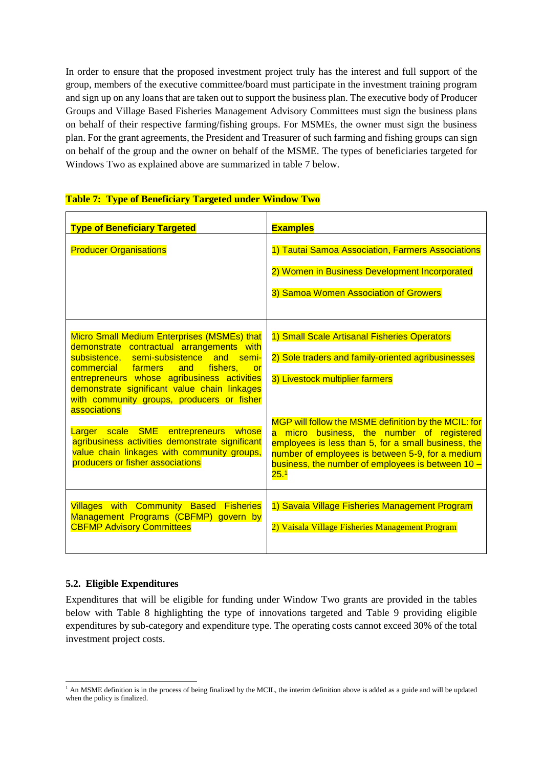In order to ensure that the proposed investment project truly has the interest and full support of the group, members of the executive committee/board must participate in the investment training program and sign up on any loans that are taken out to support the business plan. The executive body of Producer Groups and Village Based Fisheries Management Advisory Committees must sign the business plans on behalf of their respective farming/fishing groups. For MSMEs, the owner must sign the business plan. For the grant agreements, the President and Treasurer of such farming and fishing groups can sign on behalf of the group and the owner on behalf of the MSME. The types of beneficiaries targeted for Windows Two as explained above are summarized in table 7 below.

| <b>Type of Beneficiary Targeted</b>                                                                                                                                                                                                                                                                                                                                                                                                                                                                                              | <b>Examples</b>                                                                                                                                                                                                                                                                                                                                                                                                     |
|----------------------------------------------------------------------------------------------------------------------------------------------------------------------------------------------------------------------------------------------------------------------------------------------------------------------------------------------------------------------------------------------------------------------------------------------------------------------------------------------------------------------------------|---------------------------------------------------------------------------------------------------------------------------------------------------------------------------------------------------------------------------------------------------------------------------------------------------------------------------------------------------------------------------------------------------------------------|
| <b>Producer Organisations</b>                                                                                                                                                                                                                                                                                                                                                                                                                                                                                                    | 1) Tautai Samoa Association, Farmers Associations<br>2) Women in Business Development Incorporated<br>3) Samoa Women Association of Growers                                                                                                                                                                                                                                                                         |
| Micro Small Medium Enterprises (MSMEs) that<br>demonstrate contractual arrangements with<br>subsistence, semi-subsistence and semi-<br>fishers,<br>commercial farmers<br>and<br>or<br>entrepreneurs whose agribusiness activities<br>demonstrate significant value chain linkages<br>with community groups, producers or fisher<br>associations<br>Larger scale SME entrepreneurs<br>whose<br>agribusiness activities demonstrate significant<br>value chain linkages with community groups,<br>producers or fisher associations | 1) Small Scale Artisanal Fisheries Operators<br>2) Sole traders and family-oriented agribusinesses<br>3) Livestock multiplier farmers<br>MGP will follow the MSME definition by the MCIL: for<br>a micro business, the number of registered<br>employees is less than 5, for a small business, the<br>number of employees is between 5-9, for a medium<br>business, the number of employees is between 10 -<br>25.1 |
| <b>Villages with Community Based Fisheries</b><br>Management Programs (CBFMP) govern by<br><b>CBFMP Advisory Committees</b>                                                                                                                                                                                                                                                                                                                                                                                                      | 1) Savaia Village Fisheries Management Program<br>2) Vaisala Village Fisheries Management Program                                                                                                                                                                                                                                                                                                                   |

### **Table 7: Type of Beneficiary Targeted under Window Two**

### **5.2. Eligible Expenditures**

Expenditures that will be eligible for funding under Window Two grants are provided in the tables below with Table 8 highlighting the type of innovations targeted and Table 9 providing eligible expenditures by sub-category and expenditure type. The operating costs cannot exceed 30% of the total investment project costs.

<sup>-</sup> $<sup>1</sup>$  An MSME definition is in the process of being finalized by the MCIL, the interim definition above is added as a guide and will be updated</sup> when the policy is finalized.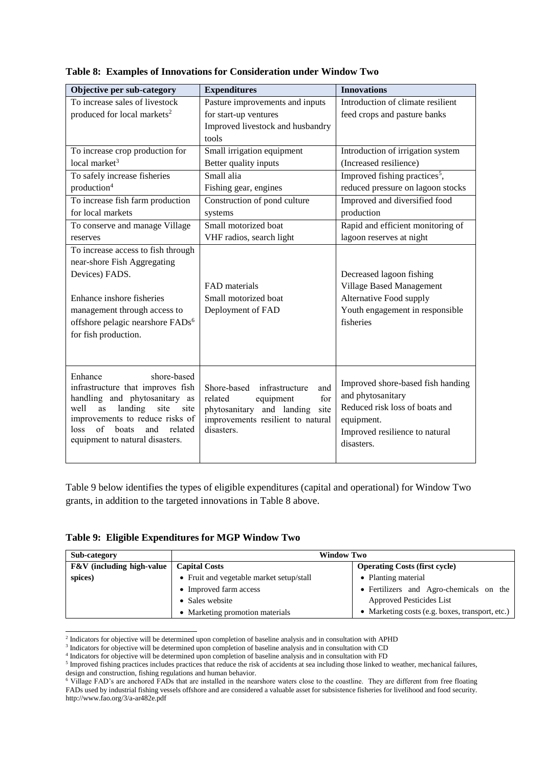| Objective per sub-category                   | <b>Expenditures</b>               | <b>Innovations</b>                        |
|----------------------------------------------|-----------------------------------|-------------------------------------------|
| To increase sales of livestock               | Pasture improvements and inputs   | Introduction of climate resilient         |
| produced for local markets <sup>2</sup>      | for start-up ventures             | feed crops and pasture banks              |
|                                              | Improved livestock and husbandry  |                                           |
|                                              | tools                             |                                           |
| To increase crop production for              | Small irrigation equipment        | Introduction of irrigation system         |
| local market $3$                             | Better quality inputs             | (Increased resilience)                    |
| To safely increase fisheries                 | Small alia                        | Improved fishing practices <sup>5</sup> , |
| production <sup>4</sup>                      | Fishing gear, engines             | reduced pressure on lagoon stocks         |
| To increase fish farm production             | Construction of pond culture      | Improved and diversified food             |
| for local markets                            | systems                           | production                                |
| To conserve and manage Village               | Small motorized boat              | Rapid and efficient monitoring of         |
| reserves                                     | VHF radios, search light          | lagoon reserves at night                  |
| To increase access to fish through           |                                   |                                           |
| near-shore Fish Aggregating                  |                                   |                                           |
| Devices) FADS.                               |                                   | Decreased lagoon fishing                  |
|                                              | <b>FAD</b> materials              | <b>Village Based Management</b>           |
| Enhance inshore fisheries                    | Small motorized boat              | Alternative Food supply                   |
| management through access to                 | Deployment of FAD                 | Youth engagement in responsible           |
| offshore pelagic nearshore FADs <sup>6</sup> |                                   | fisheries                                 |
| for fish production.                         |                                   |                                           |
|                                              |                                   |                                           |
|                                              |                                   |                                           |
| shore-based<br>Enhance                       |                                   |                                           |
| infrastructure that improves fish            | Shore-based infrastructure<br>and | Improved shore-based fish handing         |
| handling and phytosanitary as                | related<br>equipment<br>for       | and phytosanitary                         |
| well<br>landing<br>site<br>site<br>as        | phytosanitary and landing<br>site | Reduced risk loss of boats and            |
| improvements to reduce risks of              | improvements resilient to natural | equipment.                                |
| of<br>boats<br>related<br>loss<br>and        | disasters.                        | Improved resilience to natural            |
| equipment to natural disasters.              |                                   | disasters.                                |
|                                              |                                   |                                           |

**Table 8: Examples of Innovations for Consideration under Window Two**

Table 9 below identifies the types of eligible expenditures (capital and operational) for Window Two grants, in addition to the targeted innovations in Table 8 above.

### **Table 9: Eligible Expenditures for MGP Window Two**

| Sub-category                         | <b>Window Two</b>                                            |                                                 |  |
|--------------------------------------|--------------------------------------------------------------|-------------------------------------------------|--|
| <b>F&amp;V</b> (including high-value | <b>Capital Costs</b><br><b>Operating Costs (first cycle)</b> |                                                 |  |
| spices)                              | • Fruit and vegetable market setup/stall                     | • Planting material                             |  |
|                                      | • Improved farm access                                       | • Fertilizers and Agro-chemicals on the         |  |
|                                      | • Sales website                                              | <b>Approved Pesticides List</b>                 |  |
|                                      | • Marketing promotion materials                              | • Marketing costs (e.g. boxes, transport, etc.) |  |

 2 Indicators for objective will be determined upon completion of baseline analysis and in consultation with APHD

<sup>&</sup>lt;sup>3</sup> Indicators for objective will be determined upon completion of baseline analysis and in consultation with CD

<sup>4</sup> Indicators for objective will be determined upon completion of baseline analysis and in consultation with FD

<sup>&</sup>lt;sup>5</sup> Improved fishing practices includes practices that reduce the risk of accidents at sea including those linked to weather, mechanical failures, design and construction, fishing regulations and human behavior.

<sup>&</sup>lt;sup>6</sup> Village FAD's are anchored FADs that are installed in the nearshore waters close to the coastline. They are different from free floating FADs used by industrial fishing vessels offshore and are considered a valuable asset for subsistence fisheries for livelihood and food security. <http://www.fao.org/3/a-ar482e.pdf>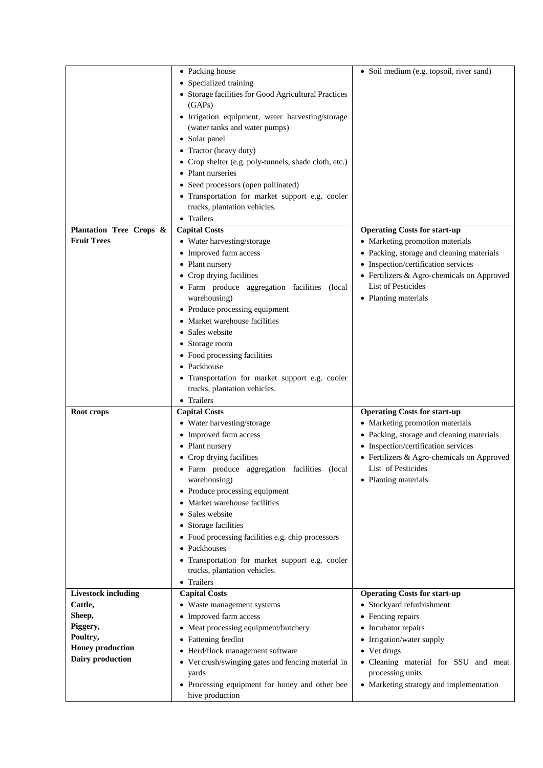|                            | • Packing house                                                   | • Soil medium (e.g. topsoil, river sand)   |
|----------------------------|-------------------------------------------------------------------|--------------------------------------------|
|                            | • Specialized training                                            |                                            |
|                            | • Storage facilities for Good Agricultural Practices              |                                            |
|                            | (GAPs)                                                            |                                            |
|                            | · Irrigation equipment, water harvesting/storage                  |                                            |
|                            | (water tanks and water pumps)                                     |                                            |
|                            | • Solar panel                                                     |                                            |
|                            | • Tractor (heavy duty)                                            |                                            |
|                            | • Crop shelter (e.g. poly-tunnels, shade cloth, etc.)             |                                            |
|                            | • Plant nurseries                                                 |                                            |
|                            | • Seed processors (open pollinated)                               |                                            |
|                            | • Transportation for market support e.g. cooler                   |                                            |
|                            | trucks, plantation vehicles.                                      |                                            |
|                            | • Trailers                                                        |                                            |
| Plantation Tree Crops &    | <b>Capital Costs</b>                                              | <b>Operating Costs for start-up</b>        |
| <b>Fruit Trees</b>         | • Water harvesting/storage                                        | • Marketing promotion materials            |
|                            | • Improved farm access                                            | • Packing, storage and cleaning materials  |
|                            | • Plant nursery                                                   | • Inspection/certification services        |
|                            | • Crop drying facilities                                          | • Fertilizers & Agro-chemicals on Approved |
|                            | · Farm produce aggregation facilities (local                      | <b>List of Pesticides</b>                  |
|                            | warehousing)                                                      | • Planting materials                       |
|                            | • Produce processing equipment                                    |                                            |
|                            | • Market warehouse facilities                                     |                                            |
|                            | • Sales website                                                   |                                            |
|                            | • Storage room                                                    |                                            |
|                            | • Food processing facilities                                      |                                            |
|                            | • Packhouse                                                       |                                            |
|                            | • Transportation for market support e.g. cooler                   |                                            |
|                            | trucks, plantation vehicles.                                      |                                            |
|                            | • Trailers                                                        |                                            |
| Root crops                 | <b>Capital Costs</b>                                              | <b>Operating Costs for start-up</b>        |
|                            | • Water harvesting/storage                                        | • Marketing promotion materials            |
|                            | • Improved farm access                                            | • Packing, storage and cleaning materials  |
|                            | • Plant nursery                                                   | • Inspection/certification services        |
|                            | • Crop drying facilities                                          | • Fertilizers & Agro-chemicals on Approved |
|                            | · Farm produce aggregation facilities (local                      | List of Pesticides                         |
|                            | warehousing)                                                      | • Planting materials                       |
|                            | • Produce processing equipment                                    |                                            |
|                            | • Market warehouse facilities                                     |                                            |
|                            | Sales website                                                     |                                            |
|                            | • Storage facilities                                              |                                            |
|                            | • Food processing facilities e.g. chip processors                 |                                            |
|                            | • Packhouses                                                      |                                            |
|                            |                                                                   |                                            |
|                            | · Transportation for market support e.g. cooler                   |                                            |
|                            | trucks, plantation vehicles.                                      |                                            |
|                            | • Trailers                                                        |                                            |
| <b>Livestock including</b> | <b>Capital Costs</b>                                              | <b>Operating Costs for start-up</b>        |
| Cattle,                    | • Waste management systems                                        | • Stockyard refurbishment                  |
| Sheep,                     | • Improved farm access                                            | • Fencing repairs                          |
| Piggery,                   | Meat processing equipment/butchery<br>٠                           | Incubator repairs<br>٠                     |
| Poultry,                   | • Fattening feedlot                                               | • Irrigation/water supply                  |
| <b>Honey production</b>    | • Herd/flock management software                                  | • Vet drugs                                |
| Dairy production           | • Vet crush/swinging gates and fencing material in                | · Cleaning material for SSU and meat       |
|                            | yards                                                             | processing units                           |
|                            | • Processing equipment for honey and other bee<br>hive production | • Marketing strategy and implementation    |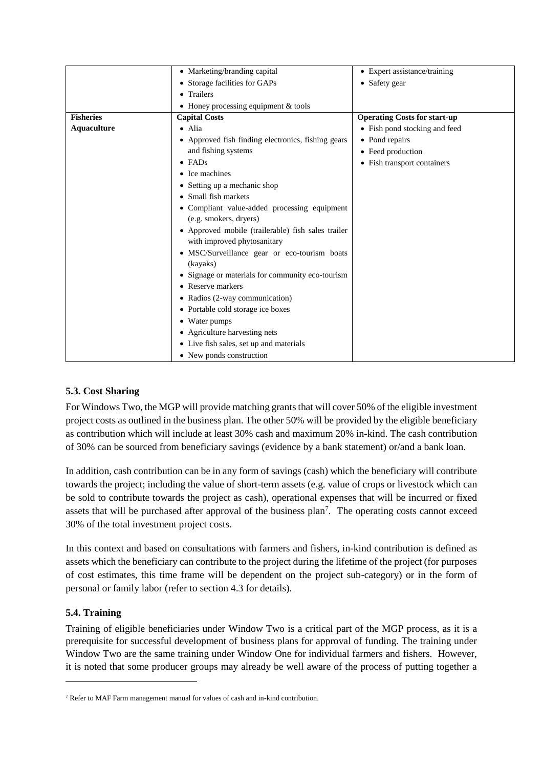|                    | • Marketing/branding capital                                                      | • Expert assistance/training        |
|--------------------|-----------------------------------------------------------------------------------|-------------------------------------|
|                    | • Storage facilities for GAPs                                                     | • Safety gear                       |
|                    | • Trailers                                                                        |                                     |
|                    | • Honey processing equipment $&$ tools                                            |                                     |
| <b>Fisheries</b>   | <b>Capital Costs</b>                                                              | <b>Operating Costs for start-up</b> |
| <b>Aquaculture</b> | $\bullet$ Alia                                                                    | • Fish pond stocking and feed       |
|                    | • Approved fish finding electronics, fishing gears                                | • Pond repairs                      |
|                    | and fishing systems                                                               | • Feed production                   |
|                    | $\bullet$ FADs                                                                    | • Fish transport containers         |
|                    | • Ice machines                                                                    |                                     |
|                    | • Setting up a mechanic shop                                                      |                                     |
|                    | • Small fish markets                                                              |                                     |
|                    | • Compliant value-added processing equipment                                      |                                     |
|                    | (e.g. smokers, dryers)                                                            |                                     |
|                    | • Approved mobile (trailerable) fish sales trailer<br>with improved phytosanitary |                                     |
|                    | • MSC/Surveillance gear or eco-tourism boats                                      |                                     |
|                    | (kayaks)                                                                          |                                     |
|                    | • Signage or materials for community eco-tourism                                  |                                     |
|                    | • Reserve markers                                                                 |                                     |
|                    | • Radios (2-way communication)                                                    |                                     |
|                    | • Portable cold storage ice boxes                                                 |                                     |
|                    | • Water pumps                                                                     |                                     |
|                    | • Agriculture harvesting nets                                                     |                                     |
|                    | • Live fish sales, set up and materials                                           |                                     |
|                    | • New ponds construction                                                          |                                     |

# **5.3. Cost Sharing**

For Windows Two, the MGP will provide matching grants that will cover 50% of the eligible investment project costs as outlined in the business plan. The other 50% will be provided by the eligible beneficiary as contribution which will include at least 30% cash and maximum 20% in-kind. The cash contribution of 30% can be sourced from beneficiary savings (evidence by a bank statement) or/and a bank loan.

In addition, cash contribution can be in any form of savings (cash) which the beneficiary will contribute towards the project; including the value of short-term assets (e.g. value of crops or livestock which can be sold to contribute towards the project as cash), operational expenses that will be incurred or fixed assets that will be purchased after approval of the business plan<sup>7</sup>. The operating costs cannot exceed 30% of the total investment project costs.

In this context and based on consultations with farmers and fishers, in-kind contribution is defined as assets which the beneficiary can contribute to the project during the lifetime of the project (for purposes of cost estimates, this time frame will be dependent on the project sub-category) or in the form of personal or family labor (refer to section 4.3 for details).

### **5.4. Training**

-

Training of eligible beneficiaries under Window Two is a critical part of the MGP process, as it is a prerequisite for successful development of business plans for approval of funding. The training under Window Two are the same training under Window One for individual farmers and fishers. However, it is noted that some producer groups may already be well aware of the process of putting together a

<sup>7</sup> Refer to MAF Farm management manual for values of cash and in-kind contribution.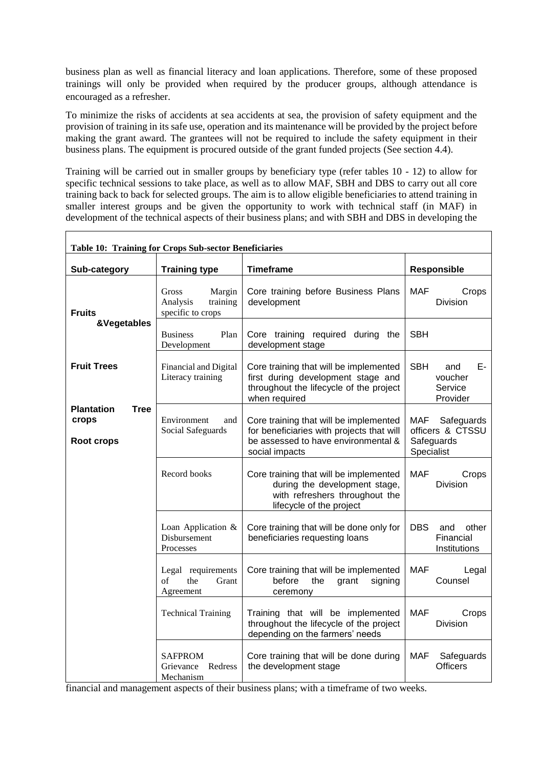business plan as well as financial literacy and loan applications. Therefore, some of these proposed trainings will only be provided when required by the producer groups, although attendance is encouraged as a refresher.

To minimize the risks of accidents at sea accidents at sea, the provision of safety equipment and the provision of training in its safe use, operation and its maintenance will be provided by the project before making the grant award. The grantees will not be required to include the safety equipment in their business plans. The equipment is procured outside of the grant funded projects (See section 4.4).

Training will be carried out in smaller groups by beneficiary type (refer tables 10 - 12) to allow for specific technical sessions to take place, as well as to allow MAF, SBH and DBS to carry out all core training back to back for selected groups. The aim is to allow eligible beneficiaries to attend training in smaller interest groups and be given the opportunity to work with technical staff (in MAF) in development of the technical aspects of their business plans; and with SBH and DBS in developing the

 $\overline{\phantom{a}}$ 

| <b>Table 10: Training for Crops Sub-sector Beneficiaries</b> |                                                              |                                                                                                                                              |                                                                   |
|--------------------------------------------------------------|--------------------------------------------------------------|----------------------------------------------------------------------------------------------------------------------------------------------|-------------------------------------------------------------------|
| Sub-category                                                 | <b>Training type</b>                                         | <b>Timeframe</b>                                                                                                                             | <b>Responsible</b>                                                |
| <b>Fruits</b>                                                | Gross<br>Margin<br>Analysis<br>training<br>specific to crops | Core training before Business Plans<br>development                                                                                           | <b>MAF</b><br>Crops<br>Division                                   |
| &Vegetables                                                  | <b>Business</b><br>Plan<br>Development                       | Core training required during the<br>development stage                                                                                       | <b>SBH</b>                                                        |
| <b>Fruit Trees</b>                                           | Financial and Digital<br>Literacy training                   | Core training that will be implemented<br>first during development stage and<br>throughout the lifecycle of the project<br>when required     | <b>SBH</b><br>Е-<br>and<br>voucher<br>Service<br>Provider         |
| <b>Plantation</b><br><b>Tree</b><br>crops<br>Root crops      | Environment<br>and<br>Social Safeguards                      | Core training that will be implemented<br>for beneficiaries with projects that will<br>be assessed to have environmental &<br>social impacts | MAF<br>Safeguards<br>officers & CTSSU<br>Safeguards<br>Specialist |
|                                                              | Record books                                                 | Core training that will be implemented<br>during the development stage,<br>with refreshers throughout the<br>lifecycle of the project        | <b>MAF</b><br>Crops<br><b>Division</b>                            |
|                                                              | Loan Application $\&$<br>Disbursement<br>Processes           | Core training that will be done only for<br>beneficiaries requesting loans                                                                   | <b>DBS</b><br>other<br>and<br>Financial<br>Institutions           |
|                                                              | Legal requirements<br>of<br>the<br>Grant<br>Agreement        | Core training that will be implemented<br>before<br>the<br>grant<br>signing<br>ceremony                                                      | MAF<br>Legal<br>Counsel                                           |
|                                                              | <b>Technical Training</b>                                    | Training that will be implemented<br>throughout the lifecycle of the project<br>depending on the farmers' needs                              | <b>MAF</b><br>Crops<br><b>Division</b>                            |
|                                                              | <b>SAFPROM</b><br>Grievance<br>Redress<br>Mechanism          | Core training that will be done during<br>the development stage                                                                              | <b>MAF</b><br>Safeguards<br>Officers                              |

financial and management aspects of their business plans; with a timeframe of two weeks.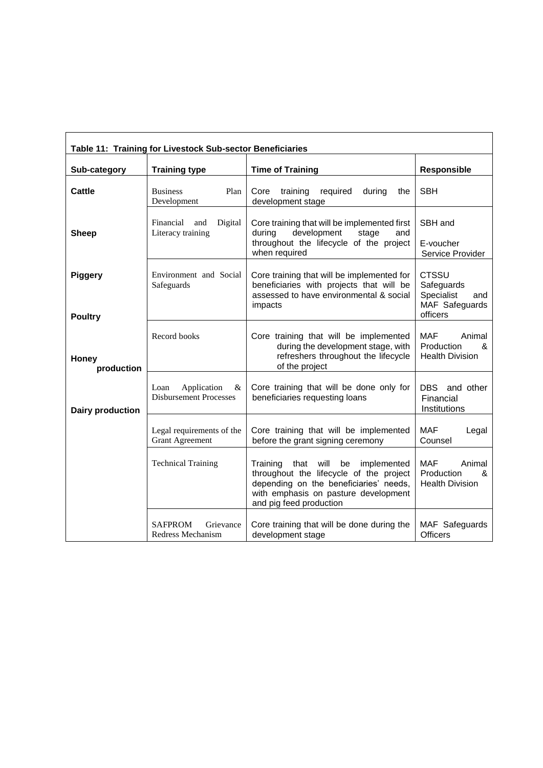| Table 11: Training for Livestock Sub-sector Beneficiaries |                                                           |                                                                                                                                                                                                 |                                                                               |
|-----------------------------------------------------------|-----------------------------------------------------------|-------------------------------------------------------------------------------------------------------------------------------------------------------------------------------------------------|-------------------------------------------------------------------------------|
| Sub-category                                              | <b>Training type</b>                                      | <b>Time of Training</b>                                                                                                                                                                         | Responsible                                                                   |
| <b>Cattle</b>                                             | Plan<br><b>Business</b><br>Development                    | Core<br>training<br>required<br>during<br>the<br>development stage                                                                                                                              | <b>SBH</b>                                                                    |
| <b>Sheep</b>                                              | Financial<br>Digital<br>and<br>Literacy training          | Core training that will be implemented first<br>development<br>during<br>stage<br>and<br>throughout the lifecycle of the project<br>when required                                               | SBH and<br>E-voucher<br>Service Provider                                      |
| <b>Piggery</b>                                            | Environment and Social<br>Safeguards                      | Core training that will be implemented for<br>beneficiaries with projects that will be<br>assessed to have environmental & social<br>impacts                                                    | <b>CTSSU</b><br>Safeguards<br>Specialist<br>and<br>MAF Safeguards<br>officers |
| <b>Poultry</b><br>Honey<br>production                     | Record books                                              | Core training that will be implemented<br>during the development stage, with<br>refreshers throughout the lifecycle<br>of the project                                                           | <b>MAF</b><br>Animal<br>Production<br>&<br><b>Health Division</b>             |
| <b>Dairy production</b>                                   | Loan<br>Application<br>&<br><b>Disbursement Processes</b> | Core training that will be done only for<br>beneficiaries requesting loans                                                                                                                      | DBS and other<br>Financial<br>Institutions                                    |
|                                                           | Legal requirements of the<br><b>Grant Agreement</b>       | Core training that will be implemented<br>before the grant signing ceremony                                                                                                                     | <b>MAF</b><br>Legal<br>Counsel                                                |
|                                                           | <b>Technical Training</b>                                 | that will be<br>Training<br>implemented<br>throughout the lifecycle of the project<br>depending on the beneficiaries' needs,<br>with emphasis on pasture development<br>and pig feed production | <b>MAF</b><br>Animal<br>Production<br>&<br><b>Health Division</b>             |
|                                                           | <b>SAFPROM</b><br>Grievance<br>Redress Mechanism          | Core training that will be done during the<br>development stage                                                                                                                                 | MAF Safeguards<br><b>Officers</b>                                             |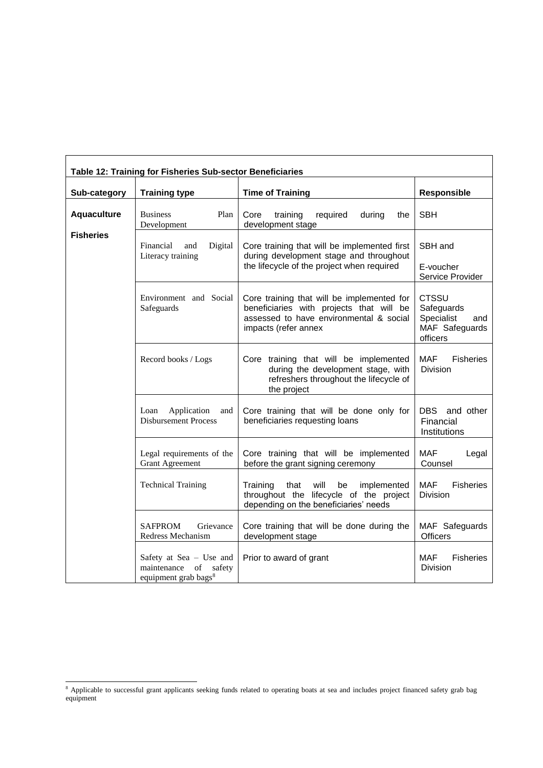| Table 12: Training for Fisheries Sub-sector Beneficiaries |                                                                                            |                                                                                                                                                           |                                                                               |  |
|-----------------------------------------------------------|--------------------------------------------------------------------------------------------|-----------------------------------------------------------------------------------------------------------------------------------------------------------|-------------------------------------------------------------------------------|--|
| Sub-category                                              | <b>Training type</b>                                                                       | <b>Time of Training</b>                                                                                                                                   | Responsible                                                                   |  |
| <b>Aquaculture</b>                                        | Plan<br><b>Business</b><br>Development                                                     | Core<br>training<br>required<br>during<br>the<br>development stage                                                                                        | <b>SBH</b>                                                                    |  |
| <b>Fisheries</b>                                          | Financial<br>Digital<br>and<br>Literacy training                                           | Core training that will be implemented first<br>during development stage and throughout<br>the lifecycle of the project when required                     | SBH and<br>E-voucher<br>Service Provider                                      |  |
|                                                           | Environment and Social<br>Safeguards                                                       | Core training that will be implemented for<br>beneficiaries with projects that will be<br>assessed to have environmental & social<br>impacts (refer annex | <b>CTSSU</b><br>Safeguards<br>Specialist<br>and<br>MAF Safeguards<br>officers |  |
|                                                           | Record books / Logs                                                                        | Core training that will be implemented<br>during the development stage, with<br>refreshers throughout the lifecycle of<br>the project                     | <b>MAF</b><br><b>Fisheries</b><br>Division                                    |  |
|                                                           | Application<br>Loan<br>and<br><b>Disbursement Process</b>                                  | Core training that will be done only for<br>beneficiaries requesting loans                                                                                | DBS and other<br>Financial<br>Institutions                                    |  |
|                                                           | Legal requirements of the<br><b>Grant Agreement</b>                                        | Core training that will be implemented<br>before the grant signing ceremony                                                                               | <b>MAF</b><br>Legal<br>Counsel                                                |  |
|                                                           | <b>Technical Training</b>                                                                  | Training<br>that<br>will<br>be<br>implemented<br>throughout the lifecycle of the project<br>depending on the beneficiaries' needs                         | <b>MAF</b><br><b>Fisheries</b><br>Division                                    |  |
|                                                           | <b>SAFPROM</b><br>Grievance<br>Redress Mechanism                                           | Core training that will be done during the<br>development stage                                                                                           | MAF Safeguards<br><b>Officers</b>                                             |  |
|                                                           | Safety at Sea - Use and<br>maintenance<br>of<br>safety<br>equipment grab bags <sup>8</sup> | Prior to award of grant                                                                                                                                   | <b>MAF</b><br><b>Fisheries</b><br>Division                                    |  |

-

<sup>&</sup>lt;sup>8</sup> Applicable to successful grant applicants seeking funds related to operating boats at sea and includes project financed safety grab bag equipment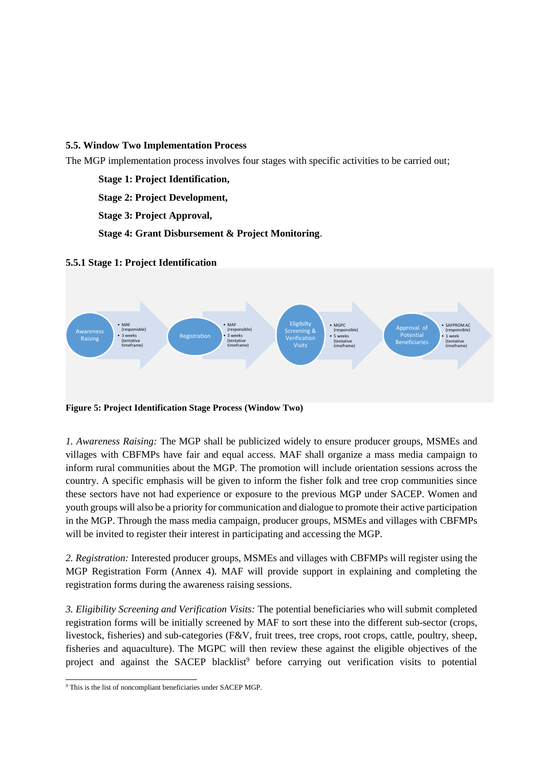#### **5.5. Window Two Implementation Process**

The MGP implementation process involves four stages with specific activities to be carried out;

**Stage 1: Project Identification,** 

**Stage 2: Project Development,** 

**Stage 3: Project Approval,** 

**Stage 4: Grant Disbursement & Project Monitoring**.

#### **5.5.1 Stage 1: Project Identification**



*1. Awareness Raising:* The MGP shall be publicized widely to ensure producer groups, MSMEs and villages with CBFMPs have fair and equal access. MAF shall organize a mass media campaign to inform rural communities about the MGP. The promotion will include orientation sessions across the country. A specific emphasis will be given to inform the fisher folk and tree crop communities since these sectors have not had experience or exposure to the previous MGP under SACEP. Women and youth groups will also be a priority for communication and dialogue to promote their active participation in the MGP. Through the mass media campaign, producer groups, MSMEs and villages with CBFMPs will be invited to register their interest in participating and accessing the MGP.

*2. Registration:* Interested producer groups, MSMEs and villages with CBFMPs will register using the MGP Registration Form (Annex 4). MAF will provide support in explaining and completing the registration forms during the awareness raising sessions.

*3. Eligibility Screening and Verification Visits:* The potential beneficiaries who will submit completed registration forms will be initially screened by MAF to sort these into the different sub-sector (crops, livestock, fisheries) and sub-categories (F&V, fruit trees, tree crops, root crops, cattle, poultry, sheep, fisheries and aquaculture). The MGPC will then review these against the eligible objectives of the project and against the SACEP blacklist<sup>9</sup> before carrying out verification visits to potential

<sup>-</sup><sup>9</sup> This is the list of noncompliant beneficiaries under SACEP MGP.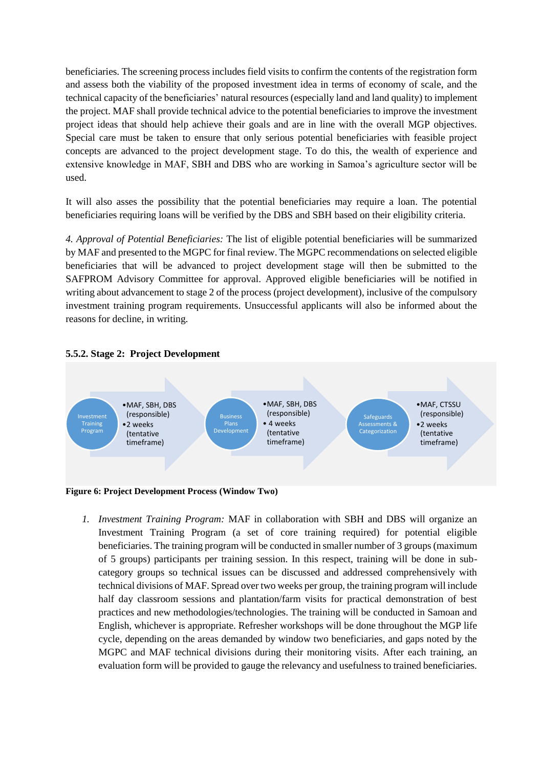beneficiaries. The screening process includes field visits to confirm the contents of the registration form and assess both the viability of the proposed investment idea in terms of economy of scale, and the technical capacity of the beneficiaries' natural resources (especially land and land quality) to implement the project. MAF shall provide technical advice to the potential beneficiaries to improve the investment project ideas that should help achieve their goals and are in line with the overall MGP objectives. Special care must be taken to ensure that only serious potential beneficiaries with feasible project concepts are advanced to the project development stage. To do this, the wealth of experience and extensive knowledge in MAF, SBH and DBS who are working in Samoa's agriculture sector will be used.

It will also asses the possibility that the potential beneficiaries may require a loan. The potential beneficiaries requiring loans will be verified by the DBS and SBH based on their eligibility criteria.

*4. Approval of Potential Beneficiaries:* The list of eligible potential beneficiaries will be summarized by MAF and presented to the MGPC for final review. The MGPC recommendations on selected eligible beneficiaries that will be advanced to project development stage will then be submitted to the SAFPROM Advisory Committee for approval. Approved eligible beneficiaries will be notified in writing about advancement to stage 2 of the process (project development), inclusive of the compulsory investment training program requirements. Unsuccessful applicants will also be informed about the reasons for decline, in writing.



**5.5.2. Stage 2: Project Development** 

**Figure 6: Project Development Process (Window Two)**

*1. Investment Training Program:* MAF in collaboration with SBH and DBS will organize an Investment Training Program (a set of core training required) for potential eligible beneficiaries. The training program will be conducted in smaller number of 3 groups (maximum of 5 groups) participants per training session. In this respect, training will be done in subcategory groups so technical issues can be discussed and addressed comprehensively with technical divisions of MAF. Spread over two weeks per group, the training program will include half day classroom sessions and plantation/farm visits for practical demonstration of best practices and new methodologies/technologies. The training will be conducted in Samoan and English, whichever is appropriate. Refresher workshops will be done throughout the MGP life cycle, depending on the areas demanded by window two beneficiaries, and gaps noted by the MGPC and MAF technical divisions during their monitoring visits. After each training, an evaluation form will be provided to gauge the relevancy and usefulness to trained beneficiaries.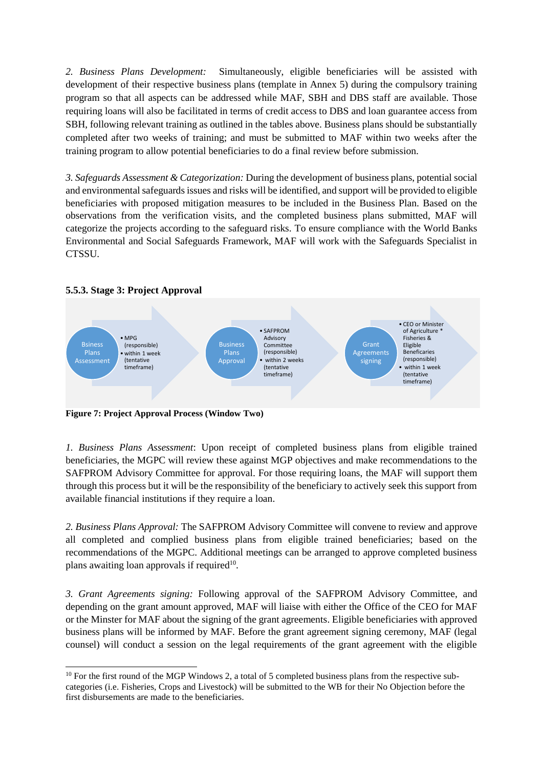*2. Business Plans Development:* Simultaneously, eligible beneficiaries will be assisted with development of their respective business plans (template in Annex 5) during the compulsory training program so that all aspects can be addressed while MAF, SBH and DBS staff are available. Those requiring loans will also be facilitated in terms of credit access to DBS and loan guarantee access from SBH, following relevant training as outlined in the tables above. Business plans should be substantially completed after two weeks of training; and must be submitted to MAF within two weeks after the training program to allow potential beneficiaries to do a final review before submission.

*3. Safeguards Assessment & Categorization:* During the development of business plans, potential social and environmental safeguards issues and risks will be identified, and support will be provided to eligible beneficiaries with proposed mitigation measures to be included in the Business Plan. Based on the observations from the verification visits, and the completed business plans submitted, MAF will categorize the projects according to the safeguard risks. To ensure compliance with the World Banks Environmental and Social Safeguards Framework, MAF will work with the Safeguards Specialist in CTSSU.



### **5.5.3. Stage 3: Project Approval**

-

**Figure 7: Project Approval Process (Window Two)**

*1. Business Plans Assessment*: Upon receipt of completed business plans from eligible trained beneficiaries, the MGPC will review these against MGP objectives and make recommendations to the SAFPROM Advisory Committee for approval. For those requiring loans, the MAF will support them through this process but it will be the responsibility of the beneficiary to actively seek this support from available financial institutions if they require a loan.

*2. Business Plans Approval:* The SAFPROM Advisory Committee will convene to review and approve all completed and complied business plans from eligible trained beneficiaries; based on the recommendations of the MGPC. Additional meetings can be arranged to approve completed business plans awaiting loan approvals if required<sup>10</sup>.

*3. Grant Agreements signing:* Following approval of the SAFPROM Advisory Committee, and depending on the grant amount approved, MAF will liaise with either the Office of the CEO for MAF or the Minster for MAF about the signing of the grant agreements. Eligible beneficiaries with approved business plans will be informed by MAF. Before the grant agreement signing ceremony, MAF (legal counsel) will conduct a session on the legal requirements of the grant agreement with the eligible

 $10$  For the first round of the MGP Windows 2, a total of 5 completed business plans from the respective subcategories (i.e. Fisheries, Crops and Livestock) will be submitted to the WB for their No Objection before the first disbursements are made to the beneficiaries.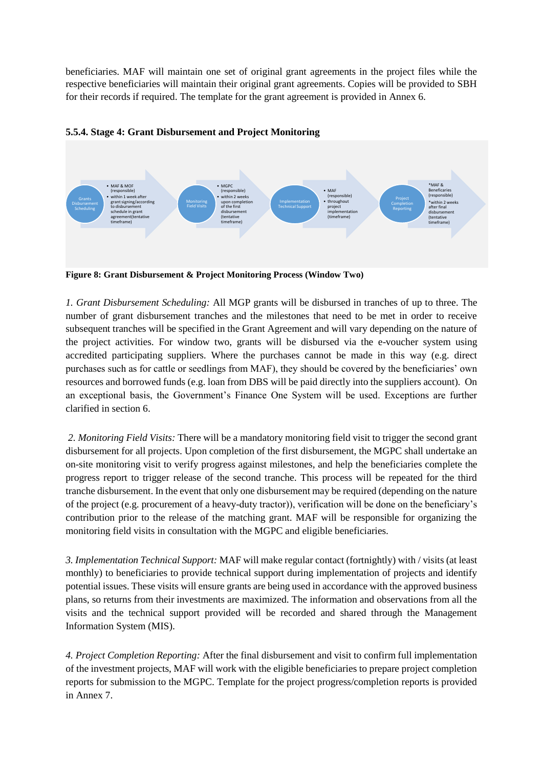beneficiaries. MAF will maintain one set of original grant agreements in the project files while the respective beneficiaries will maintain their original grant agreements. Copies will be provided to SBH for their records if required. The template for the grant agreement is provided in Annex 6.



# **5.5.4. Stage 4: Grant Disbursement and Project Monitoring**

**Figure 8: Grant Disbursement & Project Monitoring Process (Window Two)**

*1. Grant Disbursement Scheduling:* All MGP grants will be disbursed in tranches of up to three. The number of grant disbursement tranches and the milestones that need to be met in order to receive subsequent tranches will be specified in the Grant Agreement and will vary depending on the nature of the project activities. For window two, grants will be disbursed via the e-voucher system using accredited participating suppliers. Where the purchases cannot be made in this way (e.g. direct purchases such as for cattle or seedlings from MAF), they should be covered by the beneficiaries' own resources and borrowed funds (e.g. loan from DBS will be paid directly into the suppliers account). On an exceptional basis, the Government's Finance One System will be used. Exceptions are further clarified in section 6.

*2. Monitoring Field Visits:* There will be a mandatory monitoring field visit to trigger the second grant disbursement for all projects. Upon completion of the first disbursement, the MGPC shall undertake an on-site monitoring visit to verify progress against milestones, and help the beneficiaries complete the progress report to trigger release of the second tranche. This process will be repeated for the third tranche disbursement. In the event that only one disbursement may be required (depending on the nature of the project (e.g. procurement of a heavy-duty tractor)), verification will be done on the beneficiary's contribution prior to the release of the matching grant. MAF will be responsible for organizing the monitoring field visits in consultation with the MGPC and eligible beneficiaries.

*3. Implementation Technical Support:* MAF will make regular contact (fortnightly) with / visits (at least monthly) to beneficiaries to provide technical support during implementation of projects and identify potential issues. These visits will ensure grants are being used in accordance with the approved business plans, so returns from their investments are maximized. The information and observations from all the visits and the technical support provided will be recorded and shared through the Management Information System (MIS).

*4. Project Completion Reporting:* After the final disbursement and visit to confirm full implementation of the investment projects, MAF will work with the eligible beneficiaries to prepare project completion reports for submission to the MGPC. Template for the project progress/completion reports is provided in Annex 7.